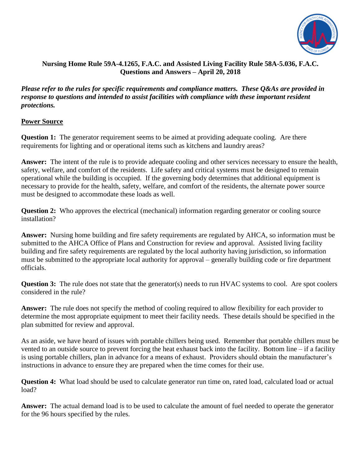

## **Nursing Home Rule 59A-4.1265, F.A.C. and Assisted Living Facility Rule 58A-5.036, F.A.C. Questions and Answers – April 20, 2018**

*Please refer to the rules for specific requirements and compliance matters. These Q&As are provided in response to questions and intended to assist facilities with compliance with these important resident protections.*

### **Power Source**

**Question 1:** The generator requirement seems to be aimed at providing adequate cooling. Are there requirements for lighting and or operational items such as kitchens and laundry areas?

**Answer:** The intent of the rule is to provide adequate cooling and other services necessary to ensure the health, safety, welfare, and comfort of the residents. Life safety and critical systems must be designed to remain operational while the building is occupied. If the governing body determines that additional equipment is necessary to provide for the health, safety, welfare, and comfort of the residents, the alternate power source must be designed to accommodate these loads as well.

**Question 2:** Who approves the electrical (mechanical) information regarding generator or cooling source installation?

**Answer:** Nursing home building and fire safety requirements are regulated by AHCA, so information must be submitted to the AHCA Office of Plans and Construction for review and approval. Assisted living facility building and fire safety requirements are regulated by the local authority having jurisdiction, so information must be submitted to the appropriate local authority for approval – generally building code or fire department officials.

**Question 3:** The rule does not state that the generator(s) needs to run HVAC systems to cool. Are spot coolers considered in the rule?

**Answer:** The rule does not specify the method of cooling required to allow flexibility for each provider to determine the most appropriate equipment to meet their facility needs. These details should be specified in the plan submitted for review and approval.

As an aside, we have heard of issues with portable chillers being used. Remember that portable chillers must be vented to an outside source to prevent forcing the heat exhaust back into the facility. Bottom line – if a facility is using portable chillers, plan in advance for a means of exhaust. Providers should obtain the manufacturer's instructions in advance to ensure they are prepared when the time comes for their use.

**Question 4:** What load should be used to calculate generator run time on, rated load, calculated load or actual load?

**Answer:** The actual demand load is to be used to calculate the amount of fuel needed to operate the generator for the 96 hours specified by the rules.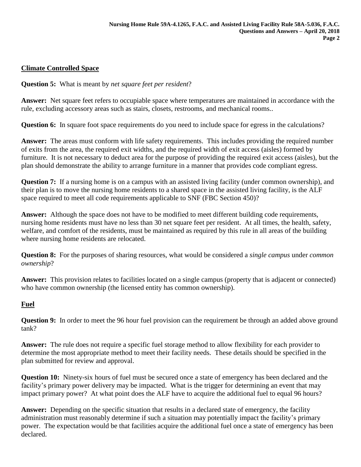## **Climate Controlled Space**

**Question 5:** What is meant by *net square feet per resident*?

**Answer:** Net square feet refers to occupiable space where temperatures are maintained in accordance with the rule, excluding accessory areas such as stairs, closets, restrooms, and mechanical rooms..

**Question 6:** In square foot space requirements do you need to include space for egress in the calculations?

**Answer:** The areas must conform with life safety requirements. This includes providing the required number of exits from the area, the required exit widths, and the required width of exit access (aisles) formed by furniture. It is not necessary to deduct area for the purpose of providing the required exit access (aisles), but the plan should demonstrate the ability to arrange furniture in a manner that provides code compliant egress.

**Question 7:** If a nursing home is on a campus with an assisted living facility (under common ownership), and their plan is to move the nursing home residents to a shared space in the assisted living facility, is the ALF space required to meet all code requirements applicable to SNF (FBC Section 450)?

**Answer:** Although the space does not have to be modified to meet different building code requirements, nursing home residents must have no less than 30 net square feet per resident. At all times, the health, safety, welfare, and comfort of the residents, must be maintained as required by this rule in all areas of the building where nursing home residents are relocated.

**Question 8:** For the purposes of sharing resources, what would be considered a *single campus* under *common ownership*?

**Answer:** This provision relates to facilities located on a single campus (property that is adjacent or connected) who have common ownership (the licensed entity has common ownership).

### **Fuel**

**Question 9:** In order to meet the 96 hour fuel provision can the requirement be through an added above ground tank?

**Answer:** The rule does not require a specific fuel storage method to allow flexibility for each provider to determine the most appropriate method to meet their facility needs. These details should be specified in the plan submitted for review and approval.

**Question 10:** Ninety-six hours of fuel must be secured once a state of emergency has been declared and the facility's primary power delivery may be impacted. What is the trigger for determining an event that may impact primary power? At what point does the ALF have to acquire the additional fuel to equal 96 hours?

**Answer:** Depending on the specific situation that results in a declared state of emergency, the facility administration must reasonably determine if such a situation may potentially impact the facility's primary power. The expectation would be that facilities acquire the additional fuel once a state of emergency has been declared.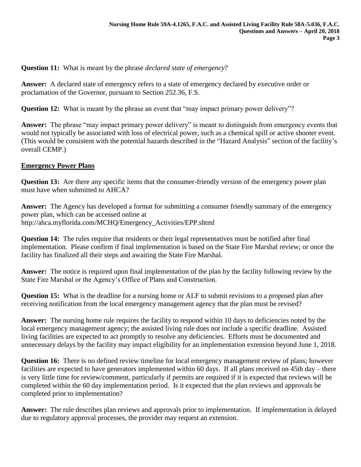**Question 11:** What is meant by the phrase *declared state of emergency*?

**Answer:** A declared state of emergency refers to a state of emergency declared by executive order or proclamation of the Governor, pursuant to Section 252.36, F.S.

**Question 12:** What is meant by the phrase an event that "may impact primary power delivery"?

**Answer:** The phrase "may impact primary power delivery" is meant to distinguish from emergency events that would not typically be associated with loss of electrical power, such as a chemical spill or active shooter event. (This would be consistent with the potential hazards described in the "Hazard Analysis" section of the facility's overall CEMP.)

## **Emergency Power Plans**

**Question 13:** Are there any specific items that the consumer-friendly version of the emergency power plan must have when submitted to AHCA?

**Answer:** The Agency has developed a format for submitting a consumer friendly summary of the emergency power plan, which can be accessed online at [http://ahca.myflorida.com/MCHQ/Emergency\\_Activities/EPP.shtml](http://ahca.myflorida.com/MCHQ/Emergency_Activities/EPP.shtml)

**Question 14:** The rules require that residents or their legal representatives must be notified after final implementation. Please confirm if final implementation is based on the State Fire Marshal review; or once the facility has finalized all their steps and awaiting the State Fire Marshal.

**Answer:** The notice is required upon final implementation of the plan by the facility following review by the State Fire Marshal or the Agency's Office of Plans and Construction.

**Question 15:** What is the deadline for a nursing home or ALF to submit revisions to a proposed plan after receiving notification from the local emergency management agency that the plan must be revised?

**Answer:** The nursing home rule requires the facility to respond within 10 days to deficiencies noted by the local emergency management agency; the assisted living rule does not include a specific deadline. Assisted living facilities are expected to act promptly to resolve any deficiencies. Efforts must be documented and unnecessary delays by the facility may impact eligibility for an implementation extension beyond June 1, 2018.

**Question 16:** There is no defined review timeline for local emergency management review of plans; however facilities are expected to have generators implemented within 60 days. If all plans received on 45th day – there is very little time for review/comment, particularly if permits are required if it is expected that reviews will be completed within the 60 day implementation period. Is it expected that the plan reviews and approvals be completed prior to implementation?

**Answer:** The rule describes plan reviews and approvals prior to implementation. If implementation is delayed due to regulatory approval processes, the provider may request an extension.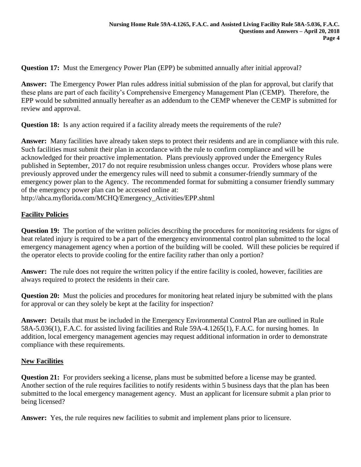**Question 17:** Must the Emergency Power Plan (EPP) be submitted annually after initial approval?

**Answer:** The Emergency Power Plan rules address initial submission of the plan for approval, but clarify that these plans are part of each facility's Comprehensive Emergency Management Plan (CEMP). Therefore, the EPP would be submitted annually hereafter as an addendum to the CEMP whenever the CEMP is submitted for review and approval.

**Question 18:** Is any action required if a facility already meets the requirements of the rule?

**Answer:** Many facilities have already taken steps to protect their residents and are in compliance with this rule. Such facilities must submit their plan in accordance with the rule to confirm compliance and will be acknowledged for their proactive implementation. Plans previously approved under the Emergency Rules published in September, 2017 do not require resubmission unless changes occur. Providers whose plans were previously approved under the emergency rules will need to submit a consumer-friendly summary of the emergency power plan to the Agency. The recommended format for submitting a consumer friendly summary of the emergency power plan can be accessed online at:

http://ahca.myflorida.com/MCHQ/Emergency\_Activities/EPP.shtml

# **Facility Policies**

**Question 19:** The portion of the written policies describing the procedures for monitoring residents for signs of heat related injury is required to be a part of the emergency environmental control plan submitted to the local emergency management agency when a portion of the building will be cooled. Will these policies be required if the operator elects to provide cooling for the entire facility rather than only a portion?

**Answer:** The rule does not require the written policy if the entire facility is cooled, however, facilities are always required to protect the residents in their care.

**Question 20:** Must the policies and procedures for monitoring heat related injury be submitted with the plans for approval or can they solely be kept at the facility for inspection?

**Answer:** Details that must be included in the Emergency Environmental Control Plan are outlined in Rule 58A-5.036(1), F.A.C. for assisted living facilities and Rule 59A-4.1265(1), F.A.C. for nursing homes. In addition, local emergency management agencies may request additional information in order to demonstrate compliance with these requirements.

### **New Facilities**

**Question 21:** For providers seeking a license, plans must be submitted before a license may be granted. Another section of the rule requires facilities to notify residents within 5 business days that the plan has been submitted to the local emergency management agency. Must an applicant for licensure submit a plan prior to being licensed?

**Answer:** Yes, the rule requires new facilities to submit and implement plans prior to licensure.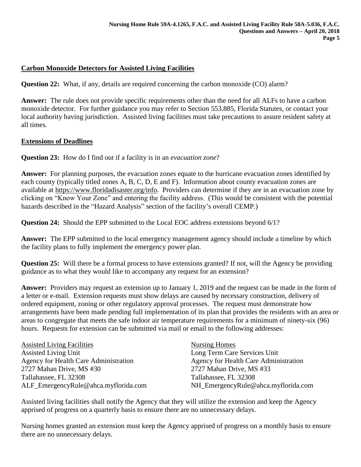## **Carbon Monoxide Detectors for Assisted Living Facilities**

**Question 22:** What, if any, details are required concerning the carbon monoxide (CO) alarm?

**Answer:** The rule does not provide specific requirements other than the need for all ALFs to have a carbon monoxide detector. For further guidance you may refer to Section 553.885, Florida Statutes, or contact your local authority having jurisdiction. Assisted living facilities must take precautions to assure resident safety at all times.

#### **Extensions of Deadlines**

**Question 23:** How do I find out if a facility is in an *evacuation zone*?

**Answer:** For planning purposes, the evacuation zones equate to the hurricane evacuation zones identified by each county (typically titled zones A, B, C, D, E and F). Information about county evacuation zones are available at [https://www.floridadisaster.org/info.](https://www.floridadisaster.org/info) Providers can determine if they are in an evacuation zone by clicking on "Know Your Zone" and entering the facility address. (This would be consistent with the potential hazards described in the "Hazard Analysis" section of the facility's overall CEMP.)

**Question 24:** Should the EPP submitted to the Local EOC address extensions beyond 6/1?

**Answer:** The EPP submitted to the local emergency management agency should include a timeline by which the facility plans to fully implement the emergency power plan.

**Question 25:** Will there be a formal process to have extensions granted? If not, will the Agency be providing guidance as to what they would like to accompany any request for an extension?

**Answer:** Providers may request an extension up to January 1, 2019 and the request can be made in the form of a letter or e-mail. Extension requests must show delays are caused by necessary construction, delivery of ordered equipment, zoning or other regulatory approval processes. The request must demonstrate how arrangements have been made pending full implementation of its plan that provides the residents with an area or areas to congregate that meets the safe indoor air temperature requirements for a minimum of ninety-six (96) hours. Requests for extension can be submitted via mail or email to the following addresses:

| <b>Assisted Living Facilities</b>     | Nursing Homes                         |
|---------------------------------------|---------------------------------------|
| Assisted Living Unit                  | Long Term Care Services Unit          |
| Agency for Health Care Administration | Agency for Health Care Administration |
| 2727 Mahan Drive, MS #30              | 2727 Mahan Drive, MS #33              |
| Tallahassee, FL 32308                 | Tallahassee, FL 32308                 |
| ALF_EmergencyRule@ahca.myflorida.com  | NH_EmergencyRule@ahca.myflorida.com   |

Assisted living facilities shall notify the Agency that they will utilize the extension and keep the Agency apprised of progress on a quarterly basis to ensure there are no unnecessary delays.

Nursing homes granted an extension must keep the Agency apprised of progress on a monthly basis to ensure there are no unnecessary delays.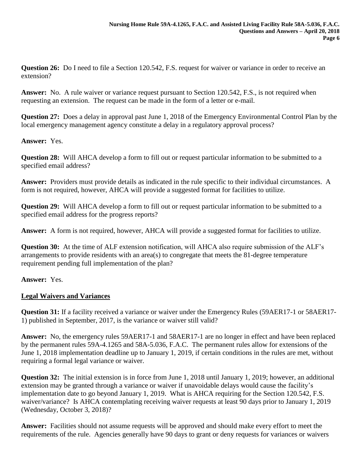**Question 26:** Do I need to file a Section 120.542, F.S. request for waiver or variance in order to receive an extension?

**Answer:** No. A rule waiver or variance request pursuant to Section 120.542, F.S., is not required when requesting an extension. The request can be made in the form of a letter or e-mail.

**Question 27:** Does a delay in approval past June 1, 2018 of the Emergency Environmental Control Plan by the local emergency management agency constitute a delay in a regulatory approval process?

### **Answer:** Yes.

**Question 28:** Will AHCA develop a form to fill out or request particular information to be submitted to a specified email address?

**Answer:** Providers must provide details as indicated in the rule specific to their individual circumstances. A form is not required, however, AHCA will provide a suggested format for facilities to utilize.

**Question 29:** Will AHCA develop a form to fill out or request particular information to be submitted to a specified email address for the progress reports?

**Answer:** A form is not required, however, AHCA will provide a suggested format for facilities to utilize.

**Question 30:** At the time of ALF extension notification, will AHCA also require submission of the ALF's arrangements to provide residents with an area(s) to congregate that meets the 81-degree temperature requirement pending full implementation of the plan?

# **Answer:** Yes.

# **Legal Waivers and Variances**

**Question 31:** If a facility received a variance or waiver under the Emergency Rules (59AER17-1 or 58AER17- 1) published in September, 2017, is the variance or waiver still valid?

**Answer:** No, the emergency rules 59AER17-1 and 58AER17-1 are no longer in effect and have been replaced by the permanent rules 59A-4.1265 and 58A-5.036, F.A.C. The permanent rules allow for extensions of the June 1, 2018 implementation deadline up to January 1, 2019, if certain conditions in the rules are met, without requiring a formal legal variance or waiver.

**Question 32:** The initial extension is in force from June 1, 2018 until January 1, 2019; however, an additional extension may be granted through a variance or waiver if unavoidable delays would cause the facility's implementation date to go beyond January 1, 2019. What is AHCA requiring for the Section 120.542, F.S. waiver/variance? Is AHCA contemplating receiving waiver requests at least 90 days prior to January 1, 2019 (Wednesday, October 3, 2018)?

**Answer:** Facilities should not assume requests will be approved and should make every effort to meet the requirements of the rule. Agencies generally have 90 days to grant or deny requests for variances or waivers